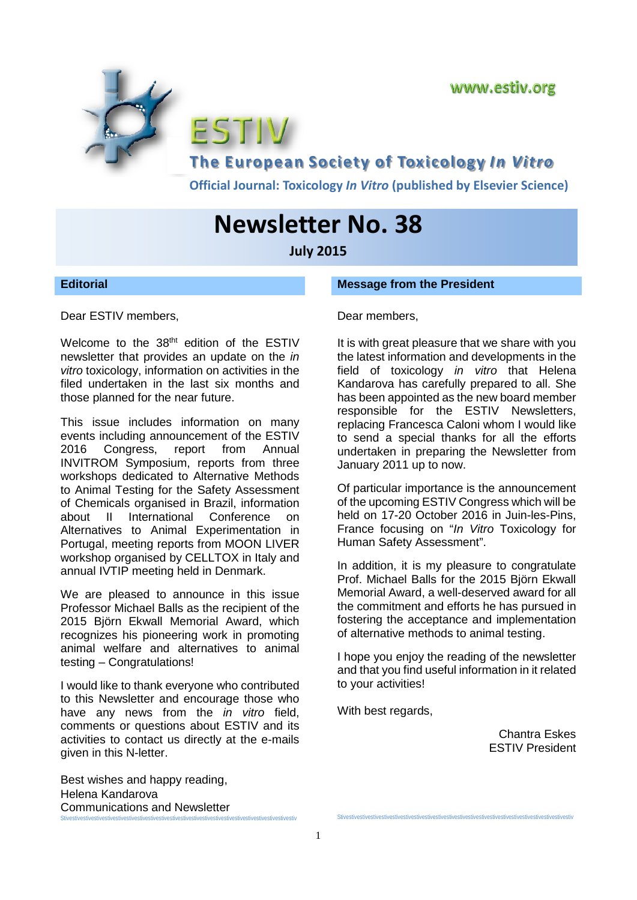

**The European Society of Toxicology** *In Vitro*

**Official Journal: Toxicology** *In Vitro* **(published by Elsevier Science)**

# **Newsletter No. 38**

STIV

**July 2015**

#### **Editorial**

Dear ESTIV members,

Welcome to the 38<sup>tht</sup> edition of the ESTIV newsletter that provides an update on the *in vitro* toxicology, information on activities in the filed undertaken in the last six months and those planned for the near future.

This issue includes information on many events including announcement of the ESTIV 2016 Congress, report from Annual INVITROM Symposium, reports from three workshops dedicated to Alternative Methods to Animal Testing for the Safety Assessment of Chemicals organised in Brazil, information about II International Conference on Alternatives to Animal Experimentation in Portugal, meeting reports from MOON LIVER workshop organised by CELLTOX in Italy and annual IVTIP meeting held in Denmark.

We are pleased to announce in this issue Professor Michael Balls as the recipient of the 2015 Björn Ekwall Memorial Award, which recognizes his pioneering work in promoting animal welfare and alternatives to animal testing – Congratulations!

I would like to thank everyone who contributed to this Newsletter and encourage those who have any news from the *in vitro* field, comments or questions about ESTIV and its activities to contact us directly at the e-mails given in this N-letter.

Best wishes and happy reading, Helena Kandarova Communications and Newsletter Stivestivestivestivestivestivestivestivestivestivestivestivestivestivestivestivestivestivestivestivestivestiv

#### **Message from the President**

Dear members,

It is with great pleasure that we share with you the latest information and developments in the field of toxicology *in vitro* that Helena Kandarova has carefully prepared to all. She has been appointed as the new board member responsible for the ESTIV Newsletters, replacing Francesca Caloni whom I would like to send a special thanks for all the efforts undertaken in preparing the Newsletter from January 2011 up to now.

Of particular importance is the announcement of the upcoming ESTIV Congress which will be held on 17-20 October 2016 in Juin-les-Pins, France focusing on "*In Vitro* Toxicology for Human Safety Assessment".

In addition, it is my pleasure to congratulate Prof. Michael Balls for the 2015 Björn Ekwall Memorial Award, a well-deserved award for all the commitment and efforts he has pursued in fostering the acceptance and implementation of alternative methods to animal testing.

I hope you enjoy the reading of the newsletter and that you find useful information in it related to your activities!

Stivestivestivestivestivestivestivestivestivestivestivestivestivestivestivestivestivestivestivestivestivestiv

With best regards,

Chantra Eskes ESTIV President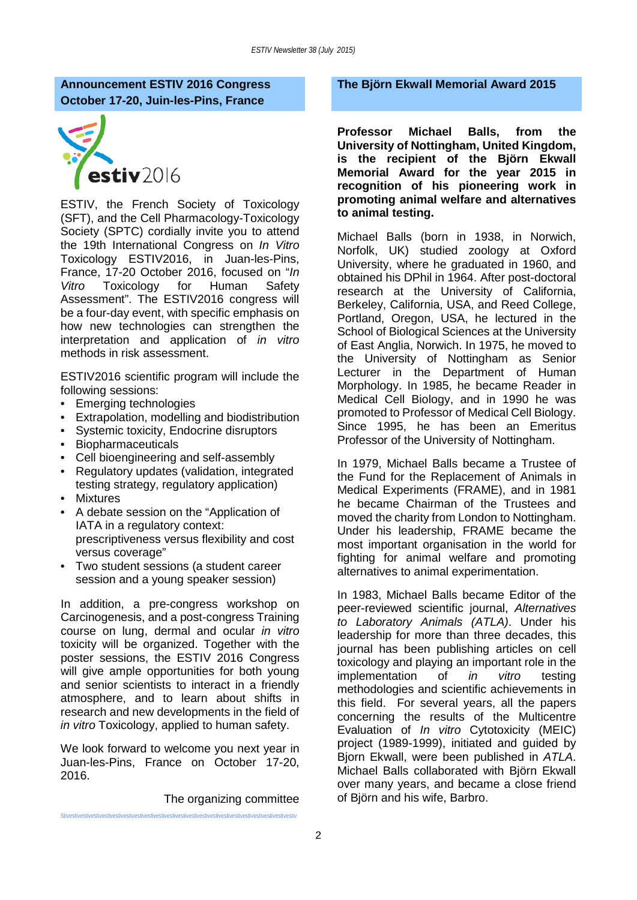## **Announcement ESTIV 2016 Congress October 17-20, Juin-les-Pins, France**



ESTIV, the French Society of Toxicology (SFT), and the Cell Pharmacology-Toxicology Society (SPTC) cordially invite you to attend the 19th International Congress on *In Vitro* Toxicology ESTIV2016, in Juan-les-Pins, France, 17-20 October 2016, focused on "*In Vitro* Toxicology for Human Safety Assessment". The ESTIV2016 congress will be a four-day event, with specific emphasis on how new technologies can strengthen the interpretation and application of *in vitro* methods in risk assessment.

ESTIV2016 scientific program will include the following sessions:

- Emerging technologies
- Extrapolation, modelling and biodistribution
- Systemic toxicity, Endocrine disruptors
- Biopharmaceuticals
- Cell bioengineering and self-assembly
- Regulatory updates (validation, integrated testing strategy, regulatory application)
- **Mixtures**
- A debate session on the "Application of IATA in a regulatory context: prescriptiveness versus flexibility and cost versus coverage"
- Two student sessions (a student career session and a young speaker session)

In addition, a pre-congress workshop on Carcinogenesis, and a post-congress Training course on lung, dermal and ocular *in vitro* toxicity will be organized. Together with the poster sessions, the ESTIV 2016 Congress will give ample opportunities for both young and senior scientists to interact in a friendly atmosphere, and to learn about shifts in research and new developments in the field of *in vitro* Toxicology, applied to human safety.

We look forward to welcome you next year in Juan-les-Pins, France on October 17-20, 2016.

Stivestivestivestivestivestivestivestivestivestivestivestivestivestivestivestivestivestivestivestivestivestiv

The organizing committee

**The Björn Ekwall Memorial Award 2015**

**Professor Michael Balls, from the University of Nottingham, United Kingdom, is the recipient of the Björn Ekwall Memorial Award for the year 2015 in recognition of his pioneering work in promoting animal welfare and alternatives to animal testing.**

Michael Balls (born in 1938, in Norwich, Norfolk, UK) studied zoology at Oxford University, where he graduated in 1960, and obtained his DPhil in 1964. After post-doctoral research at the University of California, Berkeley, California, USA, and Reed College, Portland, Oregon, USA, he lectured in the School of Biological Sciences at the University of East Anglia, Norwich. In 1975, he moved to the University of Nottingham as Senior Lecturer in the Department of Human Morphology. In 1985, he became Reader in Medical Cell Biology, and in 1990 he was promoted to Professor of Medical Cell Biology. Since 1995, he has been an Emeritus Professor of the University of Nottingham.

In 1979, Michael Balls became a Trustee of the Fund for the Replacement of Animals in Medical Experiments (FRAME), and in 1981 he became Chairman of the Trustees and moved the charity from London to Nottingham. Under his leadership, FRAME became the most important organisation in the world for fighting for animal welfare and promoting alternatives to animal experimentation.

In 1983, Michael Balls became Editor of the peer-reviewed scientific journal, *Alternatives to Laboratory Animals (ATLA)*. Under his leadership for more than three decades, this journal has been publishing articles on cell toxicology and playing an important role in the<br>implementation of *in vitro* testing implementation of *in* methodologies and scientific achievements in this field. For several years, all the papers concerning the results of the Multicentre Evaluation of *In vitro* Cytotoxicity (MEIC) project (1989-1999), initiated and guided by Bjorn Ekwall, were been published in *ATLA*. Michael Balls collaborated with Björn Ekwall over many years, and became a close friend of Björn and his wife, Barbro.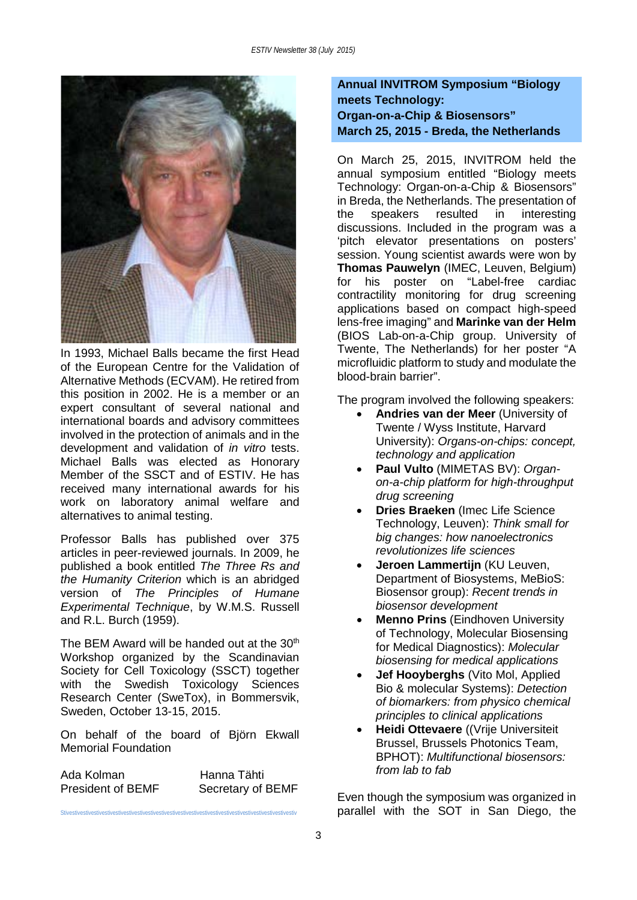

In 1993, Michael Balls became the first Head of the European Centre for the Validation of Alternative Methods (ECVAM). He retired from this position in 2002. He is a member or an expert consultant of several national and international boards and advisory committees involved in the protection of animals and in the development and validation of *in vitro* tests. Michael Balls was elected as Honorary Member of the SSCT and of ESTIV. He has received many international awards for his work on laboratory animal welfare and alternatives to animal testing.

Professor Balls has published over 375 articles in peer-reviewed journals. In 2009, he published a book entitled *The Three Rs and the Humanity Criterion* which is an abridged version of *The Principles of Humane Experimental Technique*, by W.M.S. Russell and R.L. Burch (1959).

The BEM Award will be handed out at the 30<sup>th</sup> Workshop organized by the Scandinavian Society for Cell Toxicology (SSCT) together with the Swedish Toxicology Sciences Research Center (SweTox), in Bommersvik, Sweden, October 13-15, 2015.

On behalf of the board of Björn Ekwall Memorial Foundation

Ada Kolman Hanna Tähti President of BEMF Secretary of BEMF

Stivestivestivestivestivestivestivestivestivestivestivestivestivestivestivestivestivestivestivestivestivestiv

## **Annual INVITROM Symposium "Biology meets Technology: Organ-on-a-Chip & Biosensors" March 25, 2015 - Breda, the Netherlands**

On March 25, 2015, INVITROM held the annual symposium entitled "Biology meets Technology: Organ-on-a-Chip & Biosensors" in Breda, the Netherlands. The presentation of the speakers resulted in interesting discussions. Included in the program was a 'pitch elevator presentations on posters' session. Young scientist awards were won by **Thomas Pauwelyn** (IMEC, Leuven, Belgium) for his poster on "Label-free cardiac contractility monitoring for drug screening applications based on compact high-speed lens-free imaging" and **Marinke van der Helm** (BIOS Lab-on-a-Chip group. University of Twente, The Netherlands) for her poster "A microfluidic platform to study and modulate the blood-brain barrier".

The program involved the following speakers:

- **Andries van der Meer** (University of Twente / Wyss Institute, Harvard University): *Organs-on-chips: concept, technology and application*
- **Paul Vulto** (MIMETAS BV): *Organon-a-chip platform for high-throughput drug screening*
- **Dries Braeken** (Imec Life Science Technology, Leuven): *Think small for big changes: how nanoelectronics revolutionizes life sciences*
- **Jeroen Lammertijn** (KU Leuven, Department of Biosystems, MeBioS: Biosensor group): *Recent trends in biosensor development*
- **Menno Prins** (Eindhoven University of Technology, Molecular Biosensing for Medical Diagnostics): *Molecular biosensing for medical applications*
- **Jef Hooyberghs** (Vito Mol, Applied Bio & molecular Systems): *Detection of biomarkers: from physico chemical principles to clinical applications*
- **Heidi Ottevaere** ((Vrije Universiteit Brussel, Brussels Photonics Team, BPHOT): *Multifunctional biosensors: from lab to fab*

Even though the symposium was organized in parallel with the SOT in San Diego, the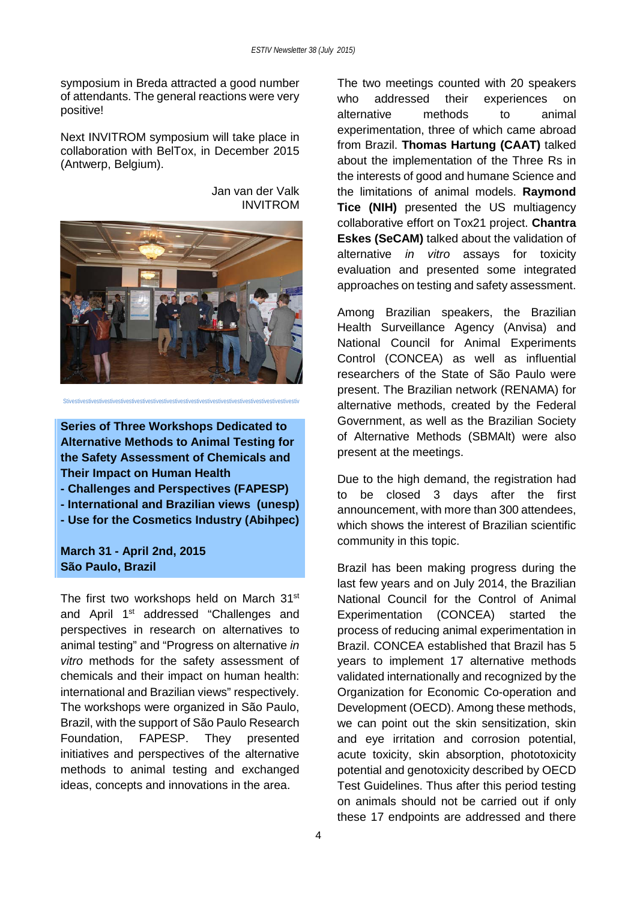symposium in Breda attracted a good number of attendants. The general reactions were very positive!

Next INVITROM symposium will take place in collaboration with BelTox, in December 2015 (Antwerp, Belgium).

Jan van der Valk INVITROM



Stivestivestivestivestivestivestivestivestivestivestivestivestivestivestivestivestivestivestivestivestivestiv

**Series of Three Workshops Dedicated to Alternative Methods to Animal Testing for the Safety Assessment of Chemicals and Their Impact on Human Health**

- **- Challenges and Perspectives (FAPESP)**
- **- International and Brazilian views (unesp)**
- **- Use for the Cosmetics Industry (Abihpec)**

**March 31 - April 2nd, 2015 São Paulo, Brazil**

The first two workshops held on March 31<sup>st</sup> and April 1<sup>st</sup> addressed "Challenges and perspectives in research on alternatives to animal testing" and "Progress on alternative *in vitro* methods for the safety assessment of chemicals and their impact on human health: international and Brazilian views" respectively. The workshops were organized in São Paulo, Brazil, with the support of São Paulo Research Foundation, FAPESP. They presented initiatives and perspectives of the alternative methods to animal testing and exchanged ideas, concepts and innovations in the area.

The two meetings counted with 20 speakers who addressed their experiences on alternative methods to animal experimentation, three of which came abroad from Brazil. **Thomas Hartung (CAAT)** talked about the implementation of the Three Rs in the interests of good and humane Science and the limitations of animal models. **Raymond Tice (NIH)** presented the US multiagency collaborative effort on Tox21 project. **Chantra Eskes (SeCAM)** talked about the validation of alternative *in vitro* assays for toxicity evaluation and presented some integrated approaches on testing and safety assessment.

Among Brazilian speakers, the Brazilian Health Surveillance Agency (Anvisa) and National Council for Animal Experiments Control (CONCEA) as well as influential researchers of the State of São Paulo were present. The Brazilian network (RENAMA) for alternative methods, created by the Federal Government, as well as the Brazilian Society of Alternative Methods (SBMAlt) were also present at the meetings.

Due to the high demand, the registration had to be closed 3 days after the first announcement, with more than 300 attendees, which shows the interest of Brazilian scientific community in this topic.

Brazil has been making progress during the last few years and on July 2014, the Brazilian National Council for the Control of Animal Experimentation (CONCEA) started the process of reducing animal experimentation in Brazil. CONCEA established that Brazil has 5 years to implement 17 alternative methods validated internationally and recognized by the Organization for Economic Co-operation and Development (OECD). Among these methods, we can point out the skin sensitization, skin and eye irritation and corrosion potential, acute toxicity, skin absorption, phototoxicity potential and genotoxicity described by OECD Test Guidelines. Thus after this period testing on animals should not be carried out if only these 17 endpoints are addressed and there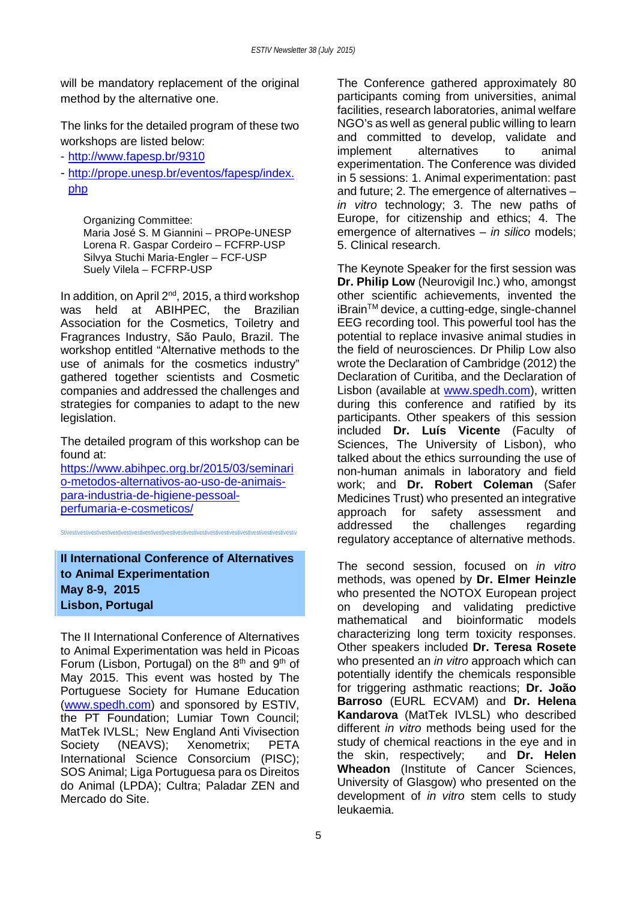will be mandatory replacement of the original method by the alternative one.

The links for the detailed program of these two workshops are listed below:

- <http://www.fapesp.br/9310>
- [http://prope.unesp.br/eventos/fapesp/index.](http://prope.unesp.br/eventos/fapesp/index.php) [php](http://prope.unesp.br/eventos/fapesp/index.php)

Organizing Committee: Maria José S. M Giannini – PROPe-UNESP Lorena R. Gaspar Cordeiro – FCFRP-USP Silvya Stuchi Maria-Engler – FCF-USP Suely Vilela – FCFRP-USP

In addition, on April 2<sup>nd</sup>, 2015, a third workshop was held at ABIHPEC, the Brazilian Association for the Cosmetics, Toiletry and Fragrances Industry, São Paulo, Brazil. The workshop entitled "Alternative methods to the use of animals for the cosmetics industry" gathered together scientists and Cosmetic companies and addressed the challenges and strategies for companies to adapt to the new legislation.

The detailed program of this workshop can be found at:

[https://www.abihpec.org.br/2015/03/seminari](https://www.abihpec.org.br/2015/03/seminario-metodos-alternativos-ao-uso-de-animais-para-industria-de-higiene-pessoal-perfumaria-e-cosmeticos/) [o-metodos-alternativos-ao-uso-de-animais](https://www.abihpec.org.br/2015/03/seminario-metodos-alternativos-ao-uso-de-animais-para-industria-de-higiene-pessoal-perfumaria-e-cosmeticos/)[para-industria-de-higiene-pessoal](https://www.abihpec.org.br/2015/03/seminario-metodos-alternativos-ao-uso-de-animais-para-industria-de-higiene-pessoal-perfumaria-e-cosmeticos/)[perfumaria-e-cosmeticos/](https://www.abihpec.org.br/2015/03/seminario-metodos-alternativos-ao-uso-de-animais-para-industria-de-higiene-pessoal-perfumaria-e-cosmeticos/)

Stivestivestivestivestivestivestivestivestivestivestivestivestivestivestivestivestivestivestivestivestivestiv

**II International Conference of Alternatives to Animal Experimentation May 8-9, 2015 Lisbon, Portugal**

The II International Conference of Alternatives to Animal Experimentation was held in Picoas Forum (Lisbon, Portugal) on the  $8<sup>th</sup>$  and  $9<sup>th</sup>$  of May 2015. This event was hosted by The Portuguese Society for Humane Education [\(www.spedh.com\)](http://www.spedh.com/) and sponsored by ESTIV, the PT Foundation; Lumiar Town Council; MatTek IVLSL; New England Anti Vivisection Society (NEAVS): Xenometrix: PETA International Science Consorcium (PISC); SOS Animal; Liga Portuguesa para os Direitos do Animal (LPDA); Cultra; Paladar ZEN and Mercado do Site.

The Conference gathered approximately 80 participants coming from universities, animal facilities, research laboratories, animal welfare NGO's as well as general public willing to learn and committed to develop, validate and<br>implement alternatives to animal implement alternatives to animal experimentation. The Conference was divided in 5 sessions: 1. Animal experimentation: past and future; 2. The emergence of alternatives – *in vitro* technology; 3. The new paths of Europe, for citizenship and ethics; 4. The emergence of alternatives – *in silico* models; 5. Clinical research.

The Keynote Speaker for the first session was **Dr. Philip Low** (Neurovigil Inc.) who, amongst other scientific achievements, invented the iBrain™ device, a cutting-edge, single-channel EEG recording tool. This powerful tool has the potential to replace invasive animal studies in the field of neurosciences. Dr Philip Low also wrote the Declaration of Cambridge (2012) the Declaration of Curitiba, and the Declaration of Lisbon (available at [www.spedh.com\)](http://www.spedh.com/), written during this conference and ratified by its participants. Other speakers of this session included **Dr. Luís Vicente** (Faculty of Sciences, The University of Lisbon), who talked about the ethics surrounding the use of non-human animals in laboratory and field work; and **Dr. Robert Coleman** (Safer Medicines Trust) who presented an integrative approach for safety assessment and addressed the challenges regarding regulatory acceptance of alternative methods.

The second session, focused on *in vitro* methods, was opened by **Dr. Elmer Heinzle** who presented the NOTOX European project on developing and validating predictive mathematical and bioinformatic models characterizing long term toxicity responses. Other speakers included **Dr. Teresa Rosete** who presented an *in vitro* approach which can potentially identify the chemicals responsible for triggering asthmatic reactions; **Dr. João Barroso** (EURL ECVAM) and **Dr. Helena Kandarova** (MatTek IVLSL) who described different *in vitro* methods being used for the study of chemical reactions in the eye and in the skin, respectively; and **Dr. Helen Wheadon** (Institute of Cancer Sciences, University of Glasgow) who presented on the development of *in vitro* stem cells to study leukaemia.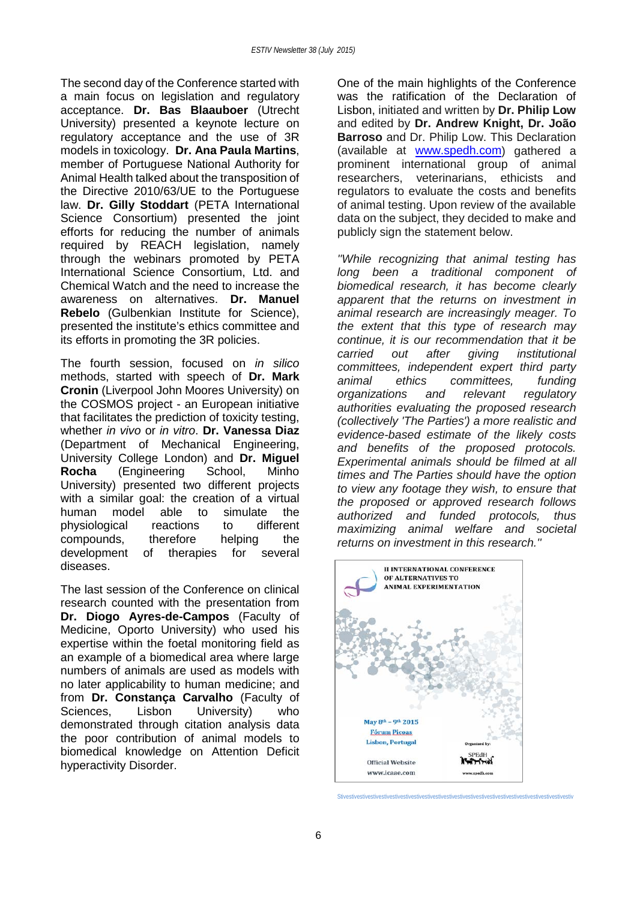The second day of the Conference started with a main focus on legislation and regulatory acceptance. **Dr. Bas Blaauboer** (Utrecht University) presented a keynote lecture on regulatory acceptance and the use of 3R models in toxicology. **Dr. Ana Paula Martins**, member of Portuguese National Authority for Animal Health talked about the transposition of the Directive 2010/63/UE to the Portuguese law. **Dr. Gilly Stoddart** (PETA International Science Consortium) presented the joint efforts for reducing the number of animals required by REACH legislation, namely through the webinars promoted by PETA International Science Consortium, Ltd. and Chemical Watch and the need to increase the awareness on alternatives. **Dr. Manuel Rebelo** (Gulbenkian Institute for Science), presented the institute's ethics committee and its efforts in promoting the 3R policies.

The fourth session, focused on *in silico* methods, started with speech of **Dr. Mark Cronin** (Liverpool John Moores University) on the COSMOS project - an European initiative that facilitates the prediction of toxicity testing, whether *in vivo* or *in vitro*. **Dr. Vanessa Diaz** (Department of Mechanical Engineering, University College London) and **Dr. Miguel Rocha** (Engineering School, Minho University) presented two different projects with a similar goal: the creation of a virtual human model able to simulate the physiological reactions to different compounds, therefore helping the development of therapies for several diseases.

The last session of the Conference on clinical research counted with the presentation from **Dr. Diogo Ayres-de-Campos** (Faculty of Medicine, Oporto University) who used his expertise within the foetal monitoring field as an example of a biomedical area where large numbers of animals are used as models with no later applicability to human medicine; and from **Dr. Constança Carvalho** (Faculty of Sciences, Lisbon University) who demonstrated through citation analysis data the poor contribution of animal models to biomedical knowledge on Attention Deficit hyperactivity Disorder.

One of the main highlights of the Conference was the ratification of the Declaration of Lisbon, initiated and written by **Dr. Philip Low** and edited by **Dr. Andrew Knight, Dr. João Barroso** and Dr. Philip Low. This Declaration (available at [www.spedh.com\)](http://www.spedh.com/) gathered a prominent international group of animal researchers, veterinarians, ethicists and regulators to evaluate the costs and benefits of animal testing. Upon review of the available data on the subject, they decided to make and publicly sign the statement below.

*''While recognizing that animal testing has long been a traditional component of biomedical research, it has become clearly apparent that the returns on investment in animal research are increasingly meager. To the extent that this type of research may continue, it is our recommendation that it be carried out after giving institutional committees, independent expert third party animal ethics committees, funding organizations and relevant regulatory authorities evaluating the proposed research (collectively 'The Parties') a more realistic and evidence-based estimate of the likely costs and benefits of the proposed protocols. Experimental animals should be filmed at all times and The Parties should have the option to view any footage they wish, to ensure that the proposed or approved research follows authorized and funded protocols, thus maximizing animal welfare and societal returns on investment in this research.''*



Stivestivestivestivestivestivestivestivestivestivestivestivestivestivestivestivestivestivestivestivestivestiv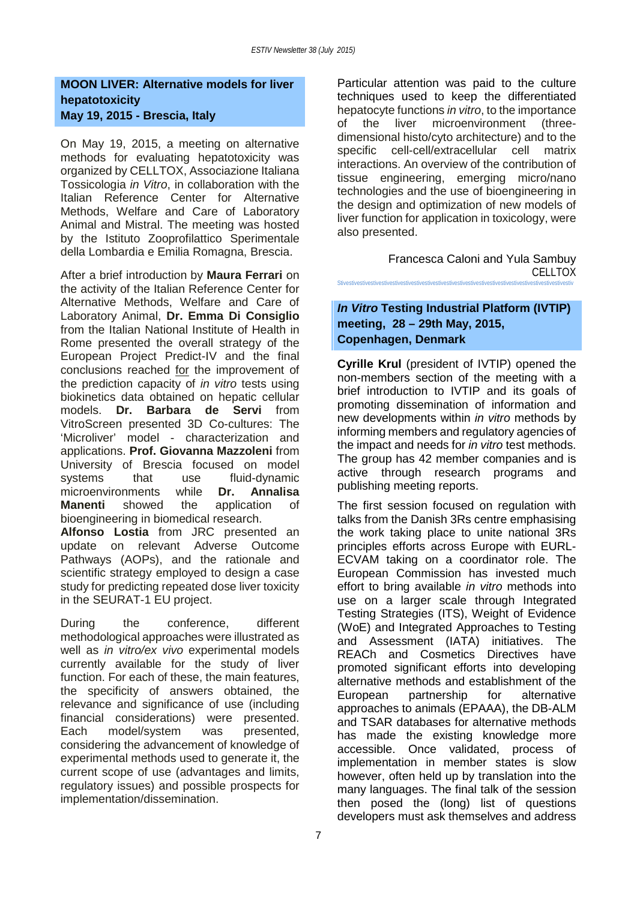## **MOON LIVER: Alternative models for liver hepatotoxicity May 19, 2015 - Brescia, Italy**

On May 19, 2015, a meeting on alternative methods for evaluating hepatotoxicity was organized by CELLTOX, Associazione Italiana Tossicologia *in Vitro*, in collaboration with the Italian Reference Center for Alternative Methods, Welfare and Care of Laboratory Animal and Mistral. The meeting was hosted by the Istituto Zooprofilattico Sperimentale della Lombardia e Emilia Romagna, Brescia.

After a brief introduction by **Maura Ferrari** on the activity of the Italian Reference Center for Alternative Methods, Welfare and Care of Laboratory Animal, **Dr. Emma Di Consiglio** from the Italian National Institute of Health in Rome presented the overall strategy of the European Project Predict-IV and the final conclusions reached for the improvement of the prediction capacity of *in vitro* tests using biokinetics data obtained on hepatic cellular models. **Dr. Barbara de Servi** from VitroScreen presented 3D Co-cultures: The 'Microliver' model - characterization and applications. **Prof. Giovanna Mazzoleni** from University of Brescia focused on model systems that use fluid-dynamic microenvironments while **Dr. Annalisa Manenti** showed the application of bioengineering in biomedical research.

**Alfonso Lostia** from JRC presented an update on relevant Adverse Outcome Pathways (AOPs), and the rationale and scientific strategy employed to design a case study for predicting repeated dose liver toxicity in the SEURAT-1 EU project.

During the conference, different methodological approaches were illustrated as well as *in vitro/ex vivo* experimental models currently available for the study of liver function. For each of these, the main features, the specificity of answers obtained, the relevance and significance of use (including financial considerations) were presented. Each model/system was presented. considering the advancement of knowledge of experimental methods used to generate it, the current scope of use (advantages and limits, regulatory issues) and possible prospects for implementation/dissemination.

Particular attention was paid to the culture techniques used to keep the differentiated hepatocyte functions *in vitro*, to the importance of the liver microenvironment (threedimensional histo/cyto architecture) and to the specific cell-cell/extracellular cell matrix interactions. An overview of the contribution of tissue engineering, emerging micro/nano technologies and the use of bioengineering in the design and optimization of new models of liver function for application in toxicology, were also presented.

Francesca Caloni and Yula Sambuy **CELLTOX** Stivestivestivestivestivestivestivestivestivestivestivestivestivestivestivestivestivestivestivestivestivestiv

## *In Vitro* **Testing Industrial Platform (IVTIP) meeting, 28 – 29th May, 2015, Copenhagen, Denmark**

**Cyrille Krul** (president of IVTIP) opened the non-members section of the meeting with a brief introduction to IVTIP and its goals of promoting dissemination of information and new developments within *in vitro* methods by informing members and regulatory agencies of the impact and needs for *in vitro* test methods. The group has 42 member companies and is active through research programs and publishing meeting reports.

The first session focused on regulation with talks from the Danish 3Rs centre emphasising the work taking place to unite national 3Rs principles efforts across Europe with EURL-ECVAM taking on a coordinator role. The European Commission has invested much effort to bring available *in vitro* methods into use on a larger scale through Integrated Testing Strategies (ITS), Weight of Evidence (WoE) and Integrated Approaches to Testing and Assessment (IATA) initiatives. The REACh and Cosmetics Directives have promoted significant efforts into developing alternative methods and establishment of the<br>European partnership for alternative partnership approaches to animals (EPAAA), the DB-ALM and TSAR databases for alternative methods has made the existing knowledge more accessible. Once validated, process of implementation in member states is slow however, often held up by translation into the many languages. The final talk of the session then posed the (long) list of questions developers must ask themselves and address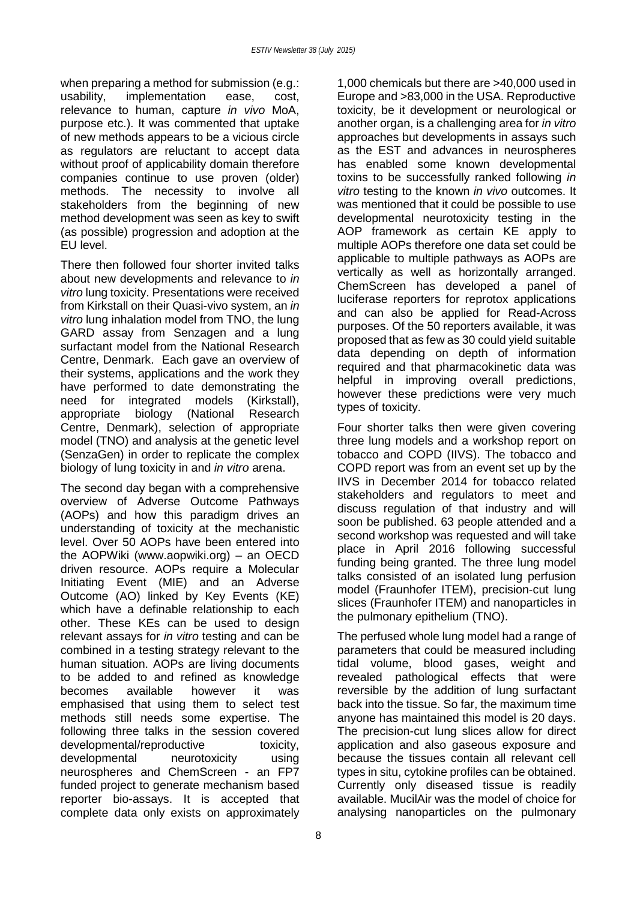when preparing a method for submission (e.g.: usability, implementation ease, cost, relevance to human, capture *in vivo* MoA, purpose etc.). It was commented that uptake of new methods appears to be a vicious circle as regulators are reluctant to accept data without proof of applicability domain therefore companies continue to use proven (older) methods. The necessity to involve all stakeholders from the beginning of new method development was seen as key to swift (as possible) progression and adoption at the EU level.

There then followed four shorter invited talks about new developments and relevance to *in vitro* lung toxicity. Presentations were received from Kirkstall on their Quasi-vivo system, an *in vitro* lung inhalation model from TNO, the lung GARD assay from Senzagen and a lung surfactant model from the National Research Centre, Denmark. Each gave an overview of their systems, applications and the work they have performed to date demonstrating the need for integrated models (Kirkstall),<br>appropriate biology (National Research appropriate biology (National Research Centre, Denmark), selection of appropriate model (TNO) and analysis at the genetic level (SenzaGen) in order to replicate the complex biology of lung toxicity in and *in vitro* arena.

The second day began with a comprehensive overview of Adverse Outcome Pathways (AOPs) and how this paradigm drives an understanding of toxicity at the mechanistic level. Over 50 AOPs have been entered into the AOPWiki (www.aopwiki.org) – an OECD driven resource. AOPs require a Molecular Initiating Event (MIE) and an Adverse Outcome (AO) linked by Key Events (KE) which have a definable relationship to each other. These KEs can be used to design relevant assays for *in vitro* testing and can be combined in a testing strategy relevant to the human situation. AOPs are living documents to be added to and refined as knowledge becomes available however it was emphasised that using them to select test methods still needs some expertise. The following three talks in the session covered developmental/reproductive toxicity, developmental neurotoxicity using neurospheres and ChemScreen - an FP7 funded project to generate mechanism based reporter bio-assays. It is accepted that complete data only exists on approximately

1,000 chemicals but there are >40,000 used in Europe and >83,000 in the USA. Reproductive toxicity, be it development or neurological or another organ, is a challenging area for *in vitro* approaches but developments in assays such as the EST and advances in neurospheres has enabled some known developmental toxins to be successfully ranked following *in vitro* testing to the known *in vivo* outcomes. It was mentioned that it could be possible to use developmental neurotoxicity testing in the AOP framework as certain KE apply to multiple AOPs therefore one data set could be applicable to multiple pathways as AOPs are vertically as well as horizontally arranged. ChemScreen has developed a panel of luciferase reporters for reprotox applications and can also be applied for Read-Across purposes. Of the 50 reporters available, it was proposed that as few as 30 could yield suitable data depending on depth of information required and that pharmacokinetic data was helpful in improving overall predictions, however these predictions were very much types of toxicity.

Four shorter talks then were given covering three lung models and a workshop report on tobacco and COPD (IIVS). The tobacco and COPD report was from an event set up by the IIVS in December 2014 for tobacco related stakeholders and regulators to meet and discuss regulation of that industry and will soon be published. 63 people attended and a second workshop was requested and will take place in April 2016 following successful funding being granted. The three lung model talks consisted of an isolated lung perfusion model (Fraunhofer ITEM), precision-cut lung slices (Fraunhofer ITEM) and nanoparticles in the pulmonary epithelium (TNO).

The perfused whole lung model had a range of parameters that could be measured including tidal volume, blood gases, weight and revealed pathological effects that were reversible by the addition of lung surfactant back into the tissue. So far, the maximum time anyone has maintained this model is 20 days. The precision-cut lung slices allow for direct application and also gaseous exposure and because the tissues contain all relevant cell types in situ, cytokine profiles can be obtained. Currently only diseased tissue is readily available. MucilAir was the model of choice for analysing nanoparticles on the pulmonary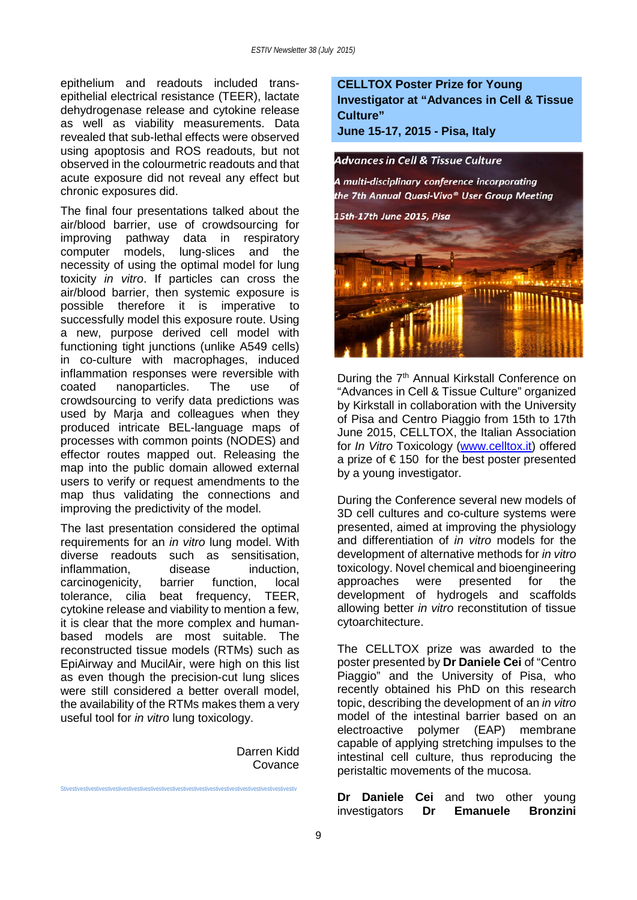epithelium and readouts included transepithelial electrical resistance (TEER), lactate dehydrogenase release and cytokine release as well as viability measurements. Data revealed that sub-lethal effects were observed using apoptosis and ROS readouts, but not observed in the colourmetric readouts and that acute exposure did not reveal any effect but chronic exposures did.

The final four presentations talked about the air/blood barrier, use of crowdsourcing for improving pathway data in respiratory computer models, lung-slices and the necessity of using the optimal model for lung toxicity *in vitro*. If particles can cross the air/blood barrier, then systemic exposure is possible therefore it is imperative to successfully model this exposure route. Using a new, purpose derived cell model with functioning tight junctions (unlike A549 cells) in co-culture with macrophages, induced inflammation responses were reversible with coated nanoparticles. The use of crowdsourcing to verify data predictions was used by Marja and colleagues when they produced intricate BEL-language maps of processes with common points (NODES) and effector routes mapped out. Releasing the map into the public domain allowed external users to verify or request amendments to the map thus validating the connections and improving the predictivity of the model.

The last presentation considered the optimal requirements for an *in vitro* lung model. With diverse readouts such as sensitisation,<br>
inflammation disease induction inflammation. carcinogenicity, barrier function, local tolerance, cilia beat frequency, TEER, cytokine release and viability to mention a few, it is clear that the more complex and humanbased models are most suitable. The reconstructed tissue models (RTMs) such as EpiAirway and MucilAir, were high on this list as even though the precision-cut lung slices were still considered a better overall model. the availability of the RTMs makes them a very useful tool for *in vitro* lung toxicology.

Stivestivestivestivestivestivestivestivestivestivestivestivestivestivestivestivestivestivestivestivestivestiv

Darren Kidd Covance

**CELLTOX Poster Prize for Young Investigator at "Advances in Cell & Tissue Culture"**

**June 15-17, 2015 - Pisa, Italy**



During the 7<sup>th</sup> Annual Kirkstall Conference on "Advances in Cell & Tissue Culture" organized by Kirkstall in collaboration with the University of Pisa and Centro Piaggio from 15th to 17th June 2015, CELLTOX, the Italian Association for *In Vitro* Toxicology [\(www.celltox.it\)](http://www.celltox.it/) offered a prize of  $\epsilon$  150 for the best poster presented by a young investigator.

During the Conference several new models of 3D cell cultures and co-culture systems were presented, aimed at improving the physiology and differentiation of *in vitro* models for the development of alternative methods for *in vitro* toxicology. Novel chemical and bioengineering approaches were presented for the development of hydrogels and scaffolds allowing better *in vitro* reconstitution of tissue cytoarchitecture.

The CELLTOX prize was awarded to the poster presented by **Dr Daniele Cei** of "Centro Piaggio" and the University of Pisa, who recently obtained his PhD on this research topic, describing the development of an *in vitro* model of the intestinal barrier based on an electroactive polymer (EAP) membrane capable of applying stretching impulses to the intestinal cell culture, thus reproducing the peristaltic movements of the mucosa.

**Dr Daniele Cei** and two other young investigators **Dr Emanuele Bronzini**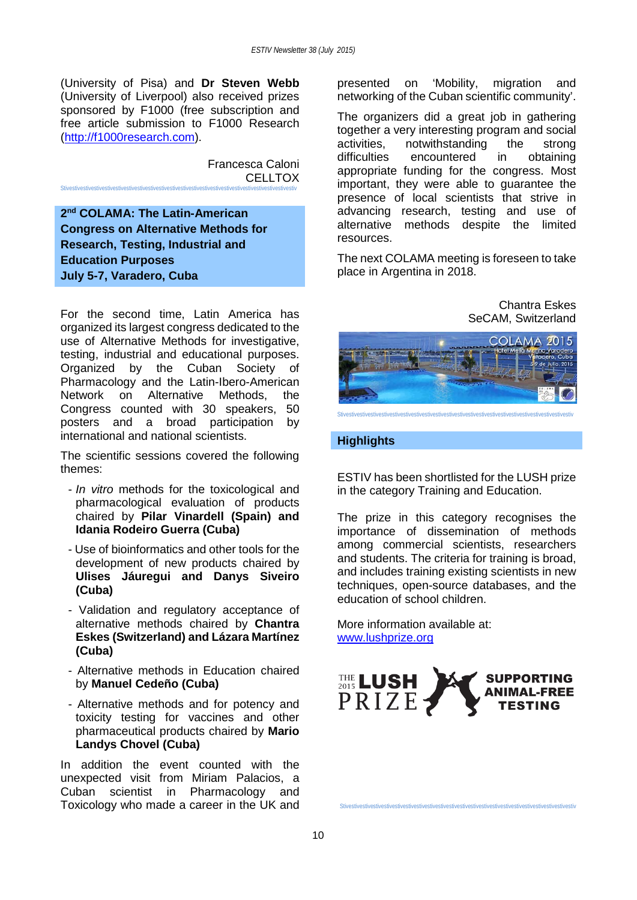(University of Pisa) and **Dr Steven Webb** (University of Liverpool) also received prizes sponsored by F1000 (free subscription and free article submission to F1000 Research [\(http://f1000research.com\)](http://f1000research.com/).

> Francesca Caloni CELLTOX

**2nd COLAMA: The Latin-American Congress on Alternative Methods for Research, Testing, Industrial and Education Purposes July 5-7, Varadero, Cuba**

Stivestivestivestivestivestivestivestivestivestivestivestivestivestivestivestivestivestivestivestivestivestiv

For the second time, Latin America has organized its largest congress dedicated to the use of Alternative Methods for investigative, testing, industrial and educational purposes. Organized by the Cuban Society of Pharmacology and the Latin-Ibero-American Network on Alternative Methods, the Congress counted with 30 speakers, 50 posters and a broad participation by international and national scientists.

The scientific sessions covered the following themes:

- *In vitro* methods for the toxicological and pharmacological evaluation of products chaired by **Pilar Vinardell (Spain) and Idania Rodeiro Guerra (Cuba)**
- Use of bioinformatics and other tools for the development of new products chaired by **Ulises Jáuregui and Danys Siveiro (Cuba)**
- Validation and regulatory acceptance of alternative methods chaired by **Chantra Eskes (Switzerland) and Lázara Martínez (Cuba)**
- Alternative methods in Education chaired by **Manuel Cedeño (Cuba)**
- Alternative methods and for potency and toxicity testing for vaccines and other pharmaceutical products chaired by **Mario Landys Chovel (Cuba)**

In addition the event counted with the unexpected visit from Miriam Palacios, a Cuban scientist in Pharmacology and Toxicology who made a career in the UK and presented on 'Mobility, migration and networking of the Cuban scientific community'.

The organizers did a great job in gathering together a very interesting program and social activities, notwithstanding the strong<br>difficulties encountered in obtaining encountered in obtaining appropriate funding for the congress. Most important, they were able to guarantee the presence of local scientists that strive in advancing research, testing and use of alternative methods despite the limited resources.

The next COLAMA meeting is foreseen to take place in Argentina in 2018.

## Chantra Eskes SeCAM, Switzerland



Stivestivestivestivestivestivestivestivestivestivestivestivestivestivestivestivestivestivestivestivestivestiv

## **Highlights**

ESTIV has been shortlisted for the LUSH prize in the category Training and Education.

The prize in this category recognises the importance of dissemination of methods among commercial scientists, researchers and students. The criteria for training is broad, and includes training existing scientists in new techniques, open-source databases, and the education of school children.

More information available at: [www.lushprize.org](http://www.lushprize.org/)



Stivestivestivestivestivestivestivestivestivestivestivestivestivestivestivestivestivestivestivestivestivestiv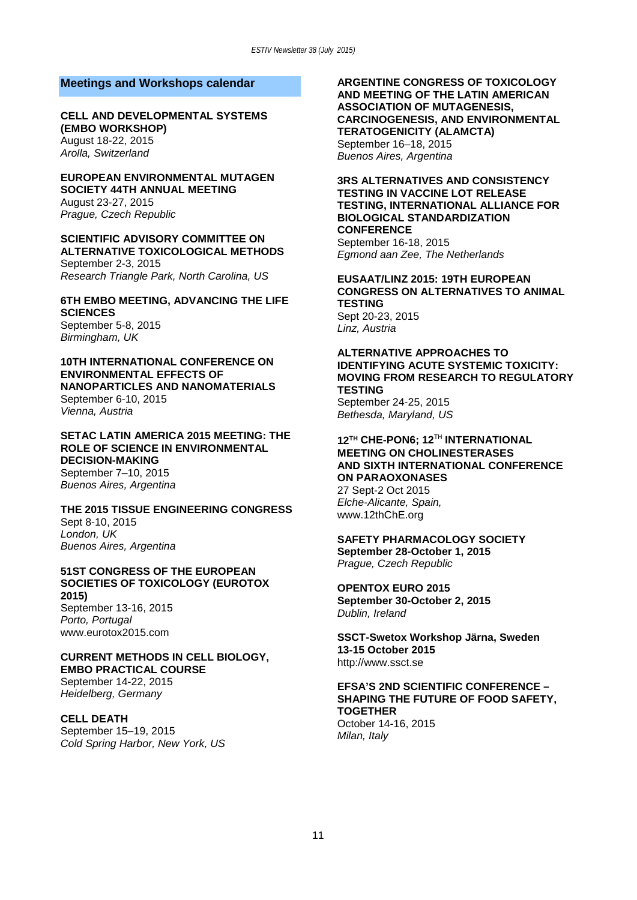#### **Meetings and Workshops calendar**

#### **[CELL AND DEVELOPMENTAL SYSTEMS](http://events.embo.org/15-dev-sys/)  [\(EMBO WORKSHOP\)](http://events.embo.org/15-dev-sys/)**

August 18-22, 2015 *Arolla, Switzerland*

## **[EUROPEAN ENVIRONMENTAL MUTAGEN](http://eemsmeeting2015.eu/)  [SOCIETY 44TH ANNUAL MEETING](http://eemsmeeting2015.eu/)**

August 23-27, 2015 *Prague, Czech Republic*

#### **[SCIENTIFIC ADVISORY COMMITTEE ON](http://ntp.niehs.nih.gov/about/org/sacatm/meetings/index.html)  [ALTERNATIVE TOXICOLOGICAL METHODS](http://ntp.niehs.nih.gov/about/org/sacatm/meetings/index.html)**

September 2-3, 2015 *Research Triangle Park, North Carolina, US*

#### **[6TH EMBO MEETING, ADVANCING THE LIFE](http://www.the-embo-meeting.org/)  [SCIENCES](http://www.the-embo-meeting.org/)**

September 5-8, 2015 *Birmingham, UK*

#### **[10TH INTERNATIONAL CONFERENCE ON](http://nanoenvironment2015.univie.ac.at/)  [ENVIRONMENTAL EFFECTS OF](http://nanoenvironment2015.univie.ac.at/)  [NANOPARTICLES AND NANOMATERIALS](http://nanoenvironment2015.univie.ac.at/)**

September 6-10, 2015 *Vienna, Austria*

#### **[SETAC LATIN AMERICA 2015 MEETING: THE](http://sla2015.setac.org/)  [ROLE OF SCIENCE IN ENVIRONMENTAL](http://sla2015.setac.org/)  [DECISION-MAKING](http://sla2015.setac.org/)**

September 7–10, 2015 *Buenos Aires, Argentina*

#### **[THE 2015 TISSUE ENGINEERING CONGRESS](https://www.regonline.co.uk/builder/site/Default.aspx?EventID=1563575)** Sept 8-10, 2015 *London, UK*

*Buenos Aires, Argentina*

#### **[51ST CONGRESS OF THE EUROPEAN](http://www.eurotox2015.com/)  [SOCIETIES OF TOXICOLOGY \(EUROTOX](http://www.eurotox2015.com/)  [2015\)](http://www.eurotox2015.com/)**

September 13-16, 2015 *Porto, Portugal* www.eurotox2015.com

#### **[CURRENT METHODS IN CELL BIOLOGY,](http://www.embl.de/training/events/2015/CBB15-01/index.html)  [EMBO PRACTICAL COURSE](http://www.embl.de/training/events/2015/CBB15-01/index.html)**

September 14-22, 2015 *Heidelberg, Germany*

## **[CELL DEATH](http://meetings.cshl.edu/meetings/2015/pcd15.shtml)**

September 15–19, 2015 *Cold Spring Harbor, New York, US* **[ARGENTINE CONGRESS OF TOXICOLOGY](http://www.ataonline.org.ar/)  [AND MEETING OF THE LATIN AMERICAN](http://www.ataonline.org.ar/)  [ASSOCIATION OF MUTAGENESIS,](http://www.ataonline.org.ar/)  [CARCINOGENESIS, AND ENVIRONMENTAL](http://www.ataonline.org.ar/)  [TERATOGENICITY \(ALAMCTA\)](http://www.ataonline.org.ar/)** September 16–18, 2015 *Buenos Aires, Argentina*

#### **[3RS ALTERNATIVES AND CONSISTENCY](http://www.consistency-congress.org/)  [TESTING IN VACCINE LOT RELEASE](http://www.consistency-congress.org/)  [TESTING, INTERNATIONAL ALLIANCE FOR](http://www.consistency-congress.org/)  [BIOLOGICAL STANDARDIZATION](http://www.consistency-congress.org/)  [CONFERENCE](http://www.consistency-congress.org/)** September 16-18, 2015

*Egmond aan Zee, The Netherlands*

## **[EUSAAT/LINZ 2015: 19TH EUROPEAN](http://eusaat-congress.eu/index.php/congress/2015/call-for-papers)  [CONGRESS ON ALTERNATIVES TO ANIMAL](http://eusaat-congress.eu/index.php/congress/2015/call-for-papers)  [TESTING](http://eusaat-congress.eu/index.php/congress/2015/call-for-papers)**

Sept 20-23, 2015 *Linz, Austria*

#### **[ALTERNATIVE APPROACHES TO](http://ntp.niehs.nih.gov/pubhealth/evalatm/3rs-meetings/index.html)  [IDENTIFYING ACUTE SYSTEMIC TOXICITY:](http://ntp.niehs.nih.gov/pubhealth/evalatm/3rs-meetings/index.html)  [MOVING FROM RESEARCH TO REGULATORY](http://ntp.niehs.nih.gov/pubhealth/evalatm/3rs-meetings/index.html)  [TESTING](http://ntp.niehs.nih.gov/pubhealth/evalatm/3rs-meetings/index.html)**

September 24-25, 2015 *Bethesda, Maryland, US*

#### **12TH CHE-PON6; 12**TH **INTERNATIONAL MEETING ON CHOLINESTERASES AND SIXTH INTERNATIONAL CONFERENCE ON PARAOXONASES**  27 Sept-2 Oct 2015 *Elche-Alicante, Spain,* [www.12thChE.org](http://www.12thche.org/)

## **[SAFETY PHARMACOLOGY SOCIETY](http://www.safetypharmacology.org/am2015/) September 28-October 1, 2015**

*Prague, Czech Republic*

#### **[OPENTOX EURO 2015](http://www.douglasconnect.com/events/opentox-euro-2015)**

**September 30-October 2, 2015** *Dublin, Ireland*

#### **SSCT-Swetox Workshop Järna, Sweden 13-15 October 2015**  http://www.ssct.se

#### **[EFSA'S 2ND SCIENTIFIC CONFERENCE –](http://www.efsaexpo2015.eu/) [SHAPING THE FUTURE OF FOOD SAFETY,](http://www.efsaexpo2015.eu/)  [TOGETHER](http://www.efsaexpo2015.eu/)**

October 14-16, 2015 *Milan, Italy*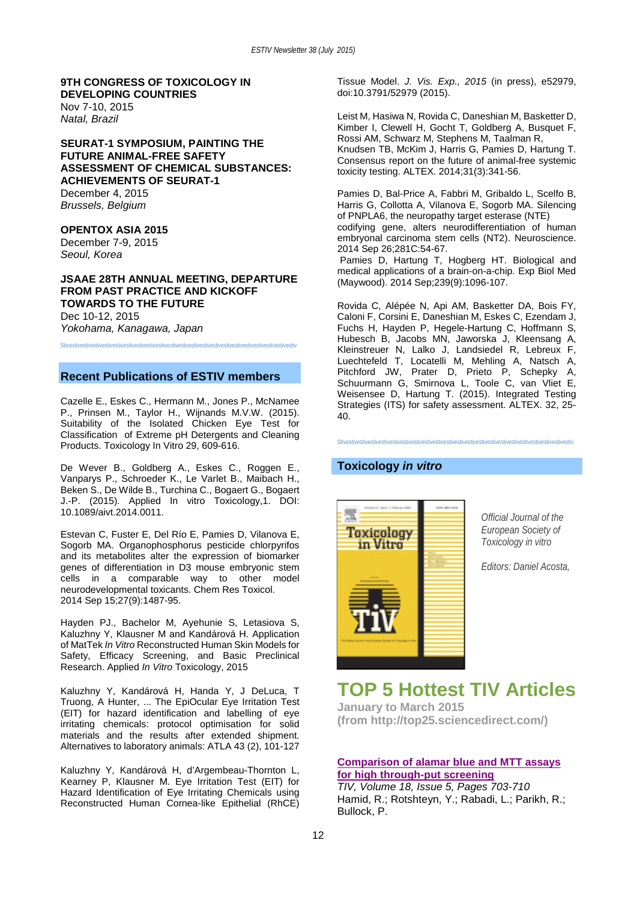## **[9TH CONGRESS OF TOXICOLOGY IN](http://iutox.org/ctdc.asp)  [DEVELOPING COUNTRIES](http://iutox.org/ctdc.asp)**

Nov 7-10, 2015 *Natal, Brazil*

#### **[SEURAT-1 SYMPOSIUM, PAINTING THE](http://www.seurat-1.eu/pages/posts/register-now-to-the-public-seurat-1-symposium-166.php)  [FUTURE ANIMAL-FREE SAFETY](http://www.seurat-1.eu/pages/posts/register-now-to-the-public-seurat-1-symposium-166.php)  [ASSESSMENT OF CHEMICAL SUBSTANCES:](http://www.seurat-1.eu/pages/posts/register-now-to-the-public-seurat-1-symposium-166.php)  [ACHIEVEMENTS OF](http://www.seurat-1.eu/pages/posts/register-now-to-the-public-seurat-1-symposium-166.php) SEURAT-1**

December 4, 2015 *Brussels, Belgium*

#### **[OPENTOX ASIA 2015](http://www.opentox.net/events/opentox-asia-2015)**

December 7-9, 2015 *Seoul, Korea*

#### **[JSAAE 28TH ANNUAL MEETING, DEPARTURE](http://www.asas.or.jp/jsaae/eng/events/taikai.html)  [FROM PAST PRACTICE AND KICKOFF](http://www.asas.or.jp/jsaae/eng/events/taikai.html)  [TOWARDS TO THE FUTURE](http://www.asas.or.jp/jsaae/eng/events/taikai.html)** Dec 10-12, 2015

*Yokohama, Kanagawa, Japan*

Stivestivestivestivestivestivestivestivestivestivestivestivestivestivestivestivestivestivestivestivestivestiv

## **Recent Publications of ESTIV members**

Cazelle E., Eskes C., Hermann M., Jones P., McNamee P., Prinsen M., Taylor H., Wijnands M.V.W. (2015). Suitability of the Isolated Chicken Eye Test for Classification of Extreme pH Detergents and Cleaning Products. Toxicology In Vitro 29, 609-616.

De Wever B., Goldberg A., Eskes C., Roggen E., Vanparys P., Schroeder K., Le Varlet B., Maibach H., Beken S., De Wilde B., Turchina C., Bogaert G., Bogaert J.-P. (2015). Applied In vitro Toxicology,1. DOI: 10.1089/aivt.2014.0011.

Estevan C, Fuster E, Del Río E, Pamies D, Vilanova E, Sogorb MA. Organophosphorus pesticide chlorpyrifos and its metabolites alter the expression of biomarker genes of differentiation in D3 mouse embryonic stem cells in a comparable way to other model neurodevelopmental toxicants. Chem Res Toxicol. 2014 Sep 15;27(9):1487-95.

Hayden PJ., Bachelor M, Ayehunie S, Letasiova S, Kaluzhny Y, Klausner M and Kandárová H. Application of MatTek *In Vitro* Reconstructed Human Skin Models for Safety, Efficacy Screening, and Basic Preclinical Research. Applied *In Vitro* Toxicology, 2015

Kaluzhny Y, Kandárová H, Handa Y, J DeLuca, T Truong, A Hunter, ... The EpiOcular Eye Irritation Test (EIT) for hazard identification and labelling of eye irritating chemicals: protocol optimisation for solid materials and the results after extended shipment. Alternatives to laboratory animals: ATLA 43 (2), 101-127

Kaluzhny Y, Kandárová H, d'Argembeau-Thornton L, Kearney P, Klausner M. Eye Irritation Test (EIT) for Hazard Identification of Eye Irritating Chemicals using Reconstructed Human Cornea-like Epithelial (RhCE)

Tissue Model. *J. Vis. Exp., 2015* (in press), e52979, doi:10.3791/52979 (2015).

Leist M, Hasiwa N, Rovida C, Daneshian M, Basketter D, Kimber I, Clewell H, Gocht T, Goldberg A, Busquet F, Rossi AM, Schwarz M, Stephens M, Taalman R, Knudsen TB, McKim J, Harris G, Pamies D, Hartung T. Consensus report on the future of animal-free systemic toxicity testing. ALTEX. 2014;31(3):341-56.

Pamies D, Bal-Price A, Fabbri M, Gribaldo L, Scelfo B, Harris G, Collotta A, Vilanova E, Sogorb MA. Silencing of PNPLA6, the neuropathy target esterase (NTE) codifying gene, alters neurodifferentiation of human embryonal carcinoma stem cells (NT2). Neuroscience. 2014 Sep 26;281C:54-67.

Pamies D, Hartung T, Hogberg HT. Biological and medical applications of a brain-on-a-chip. Exp Biol Med (Maywood). 2014 Sep;239(9):1096-107.

Rovida C, Alépée N, Api AM, Basketter DA, Bois FY, Caloni F, Corsini E, Daneshian M, Eskes C, Ezendam J, Fuchs H, Hayden P, Hegele-Hartung C, Hoffmann S, Hubesch B, Jacobs MN, Jaworska J, Kleensang A, Kleinstreuer N, Lalko J, Landsiedel R, Lebreux F, Luechtefeld T, Locatelli M, Mehling A, Natsch A, Pitchford JW, Prater D, Prieto P, Schepky A, Schuurmann G, Smirnova L, Toole C, van Vliet E, Weisensee D, Hartung T. (2015). Integrated Testing Strategies (ITS) for safety assessment. ALTEX. 32, 25- 40.

Stivestivestivestivestivestivestivestivestivestivestivestivestivestivestivestivestivestivestivestivestivestiv

#### **Toxicology** *in vitro*



*Official Journal of the European Society of Toxicology in vitro*

*Editors: Daniel Acosta,* 

## **TOP 5 Hottest TIV Articles**

**January to March 2015 (from http://top25.sciencedirect.com/)**

#### **Comparison of alamar blue and MTT assays for high through-put screening**

*TIV, Volume 18, Issue 5, Pages 703-710* Hamid, R.; Rotshteyn, Y.; Rabadi, L.; Parikh, R.; Bullock, P.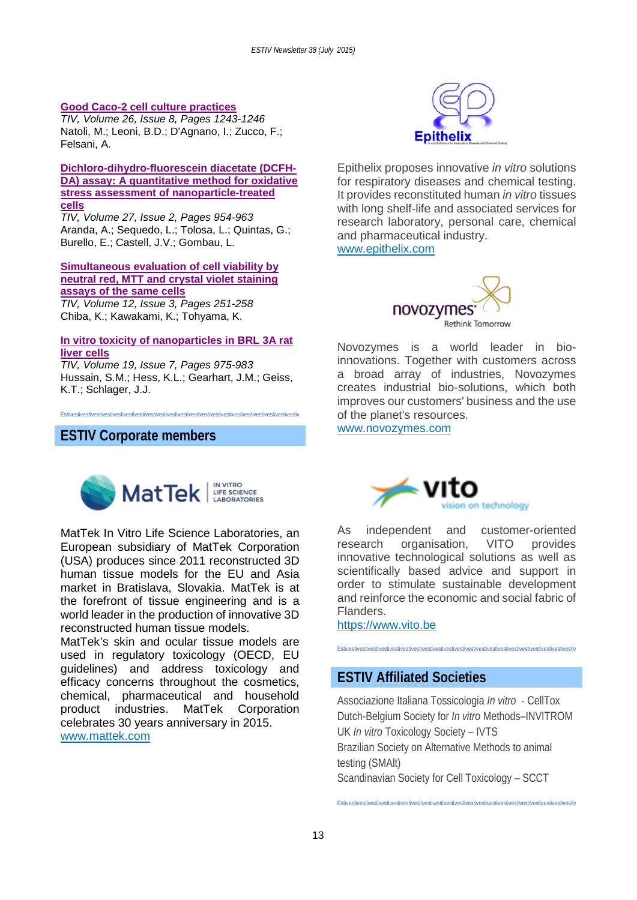#### **Good Caco-2 cell culture practices**

*TIV, Volume 26, Issue 8, Pages 1243-1246* Natoli, M.; Leoni, B.D.; D'Agnano, I.; Zucco, F.; Felsani, A.

#### **Dichloro-dihydro-fluorescein diacetate (DCFH-DA) assay: A quantitative method for oxidative stress assessment of nanoparticle-treated cells**

*TIV, Volume 27, Issue 2, Pages 954-963* Aranda, A.; Sequedo, L.; Tolosa, L.; Quintas, G.; Burello, E.; Castell, J.V.; Gombau, L.

#### **Simultaneous evaluation of cell viability by neutral red, MTT and crystal violet staining assays of the same cells**

*TIV, Volume 12, Issue 3, Pages 251-258* Chiba, K.; Kawakami, K.; Tohyama, K.

#### **In vitro toxicity of nanoparticles in BRL 3A rat liver cells**

*TIV, Volume 19, Issue 7, Pages 975-983* Hussain, S.M.; Hess, K.L.; Gearhart, J.M.; Geiss, K.T.; Schlager, J.J.

Estivestivestivestivestivestivestivestivestivestivestivestivestivestivestivestivestivestivestivestivestivestiv

## **ESTIV Corporate members**



MatTek In Vitro Life Science Laboratories, an European subsidiary of MatTek Corporation (USA) produces since 2011 reconstructed 3D human tissue models for the EU and Asia market in Bratislava, Slovakia. MatTek is at the forefront of tissue engineering and is a world leader in the production of innovative 3D reconstructed human tissue models.

MatTek's skin and ocular tissue models are used in regulatory toxicology (OECD, EU guidelines) and address toxicology and efficacy concerns throughout the cosmetics, chemical, pharmaceutical and household product industries. MatTek Corporation celebrates 30 years anniversary in 2015. [www.mattek.com](http://www.mattek.com/)



Epithelix proposes innovative *in vitro* solutions for respiratory diseases and chemical testing. It provides reconstituted human *in vitro* tissues with long shelf-life and associated services for research laboratory, personal care, chemical and pharmaceutical industry.

[www.epithelix.com](http://www.epithelix.com/)



Novozymes is a world leader in bioinnovations. Together with customers across a broad array of industries, Novozymes creates industrial bio-solutions, which both improves our customers' business and the use of the planet's resources.

www.novozymes.com



As independent and customer-oriented research organisation, VITO provides innovative technological solutions as well as scientifically based advice and support in order to stimulate sustainable development and reinforce the economic and social fabric of Flanders.

https://www.vito.be

Estivestivestivestivestivestivestivestivestivestivestivestivestivestivestivestivestivestivestivestivestivestiv

## **ESTIV Affiliated Societies**

Associazione Italiana Tossicologia *In vitro* - CellTox Dutch-Belgium Society for *In vitro* Methods–INVITROM UK *In vitro* Toxicology Society – IVTS Brazilian Society on Alternative Methods to animal testing (SMAlt) Scandinavian Society for Cell Toxicology – SCCT

Estivestivestivestivestivestivestivestivestivestivestivestivestivestivestivestivestivestivestivestivestivestiv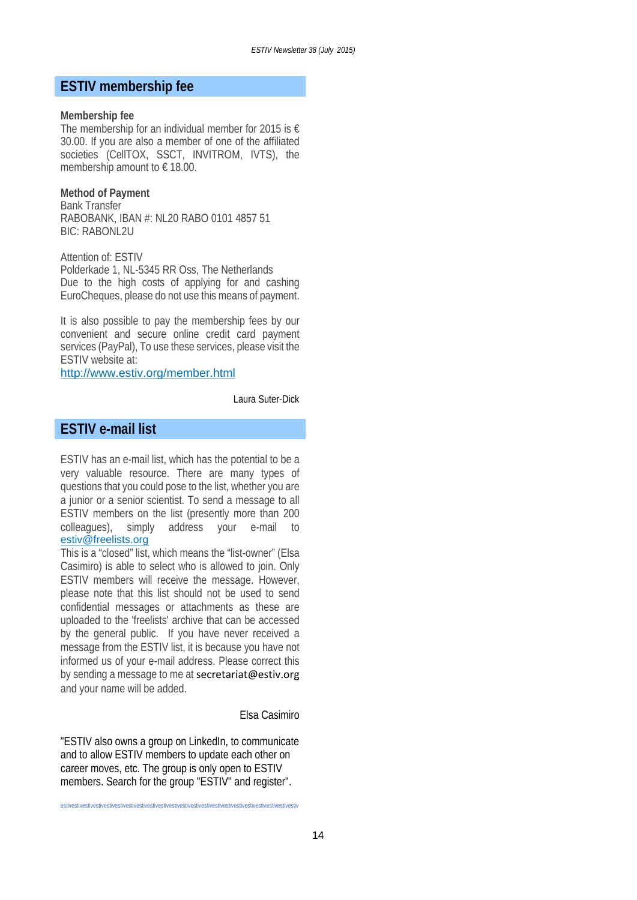## **ESTIV membership fee**

#### **Membership fee**

The membership for an individual member for 2015 is  $\epsilon$ 30.00. If you are also a member of one of the affiliated societies (CellTOX, SSCT, INVITROM, IVTS), the membership amount to  $\epsilon$  18.00.

#### **Method of Payment**

Bank Transfer RABOBANK, IBAN #: NL20 RABO 0101 4857 51 BIC: RABONL2U

Attention of: ESTIV

Polderkade 1, NL-5345 RR Oss, The Netherlands Due to the high costs of applying for and cashing EuroCheques, please do not use this means of payment.

It is also possible to pay the membership fees by our convenient and secure online credit card payment services (PayPal), To use these services, please visit the ESTIV website at:

<http://www.estiv.org/member.html>

Laura Suter-Dick

## **ESTIV e-mail list**

ESTIV has an e-mail list, which has the potential to be a very valuable resource. There are many types of questions that you could pose to the list, whether you are a junior or a senior scientist. To send a message to all ESTIV members on the list (presently more than 200 colleagues), simply address your e-mail to colleagues), simply address your e-mail to [estiv@freelists.org](mailto:estiv@freelists.org)

This is a "closed" list, which means the "list-owner" (Elsa Casimiro) is able to select who is allowed to join. Only ESTIV members will receive the message. However, please note that this list should not be used to send confidential messages or attachments as these are uploaded to the 'freelists' archive that can be accessed by the general public. If you have never received a message from the ESTIV list, it is because you have not informed us of your e-mail address. Please correct this by sending a message to me at secretariat@estiv.org and your name will be added.

Elsa Casimiro

"ESTIV also owns a group on LinkedIn, to communicate and to allow ESTIV members to update each other on career moves, etc. The group is only open to ESTIV members. Search for the group "ESTIV" and register".

estivestivestivestivestivestivestivestivestivestivestivestivestivestivestivestivestivestivestivestivestivestiv